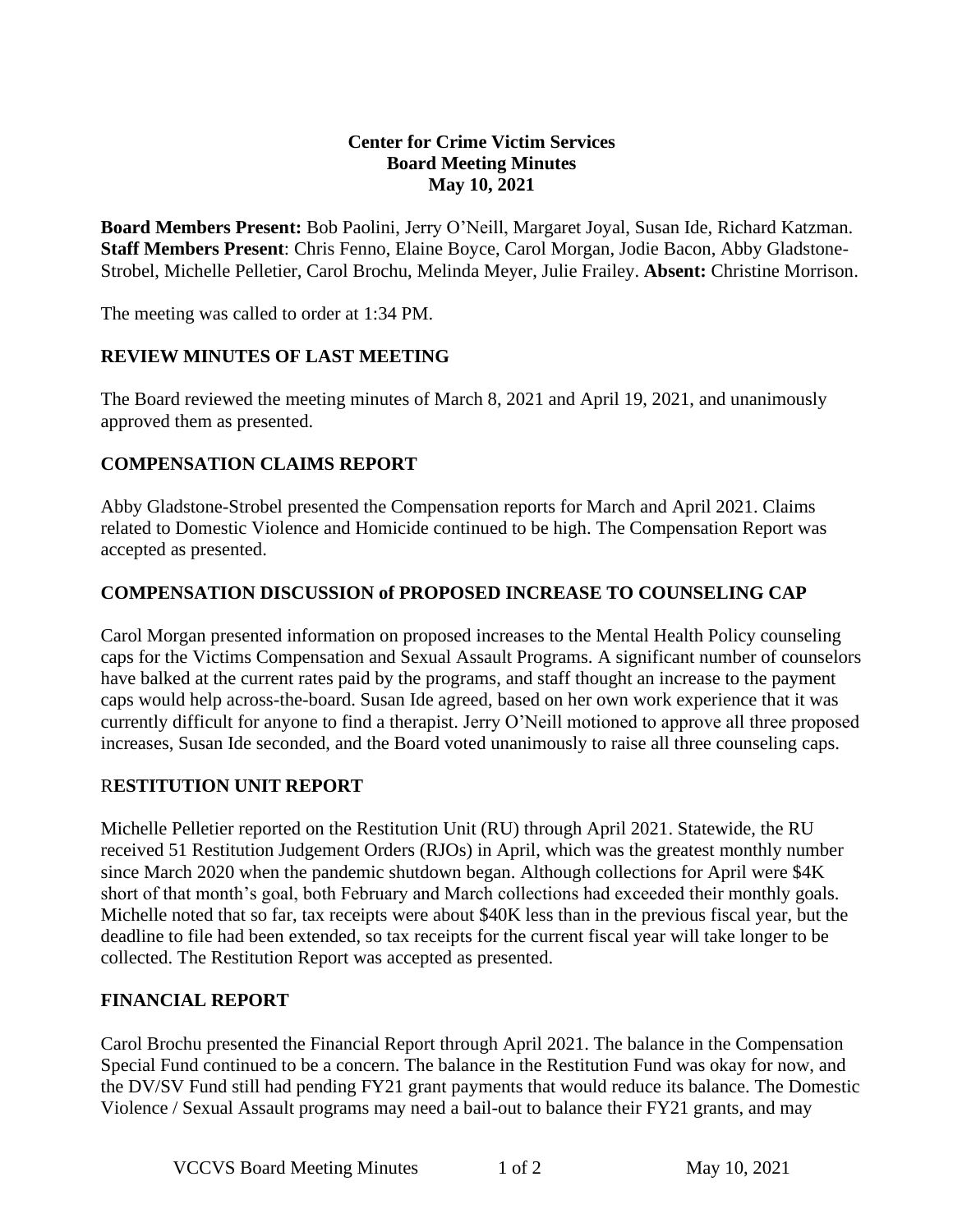## **Center for Crime Victim Services Board Meeting Minutes May 10, 2021**

**Board Members Present:** Bob Paolini, Jerry O'Neill, Margaret Joyal, Susan Ide, Richard Katzman. **Staff Members Present**: Chris Fenno, Elaine Boyce, Carol Morgan, Jodie Bacon, Abby Gladstone-Strobel, Michelle Pelletier, Carol Brochu, Melinda Meyer, Julie Frailey. **Absent:** Christine Morrison.

The meeting was called to order at 1:34 PM.

# **REVIEW MINUTES OF LAST MEETING**

The Board reviewed the meeting minutes of March 8, 2021 and April 19, 2021, and unanimously approved them as presented.

## **COMPENSATION CLAIMS REPORT**

Abby Gladstone-Strobel presented the Compensation reports for March and April 2021. Claims related to Domestic Violence and Homicide continued to be high. The Compensation Report was accepted as presented.

## **COMPENSATION DISCUSSION of PROPOSED INCREASE TO COUNSELING CAP**

Carol Morgan presented information on proposed increases to the Mental Health Policy counseling caps for the Victims Compensation and Sexual Assault Programs. A significant number of counselors have balked at the current rates paid by the programs, and staff thought an increase to the payment caps would help across-the-board. Susan Ide agreed, based on her own work experience that it was currently difficult for anyone to find a therapist. Jerry O'Neill motioned to approve all three proposed increases, Susan Ide seconded, and the Board voted unanimously to raise all three counseling caps.

#### R**ESTITUTION UNIT REPORT**

Michelle Pelletier reported on the Restitution Unit (RU) through April 2021. Statewide, the RU received 51 Restitution Judgement Orders (RJOs) in April, which was the greatest monthly number since March 2020 when the pandemic shutdown began. Although collections for April were \$4K short of that month's goal, both February and March collections had exceeded their monthly goals. Michelle noted that so far, tax receipts were about \$40K less than in the previous fiscal year, but the deadline to file had been extended, so tax receipts for the current fiscal year will take longer to be collected. The Restitution Report was accepted as presented.

# **FINANCIAL REPORT**

Carol Brochu presented the Financial Report through April 2021. The balance in the Compensation Special Fund continued to be a concern. The balance in the Restitution Fund was okay for now, and the DV/SV Fund still had pending FY21 grant payments that would reduce its balance. The Domestic Violence / Sexual Assault programs may need a bail-out to balance their FY21 grants, and may